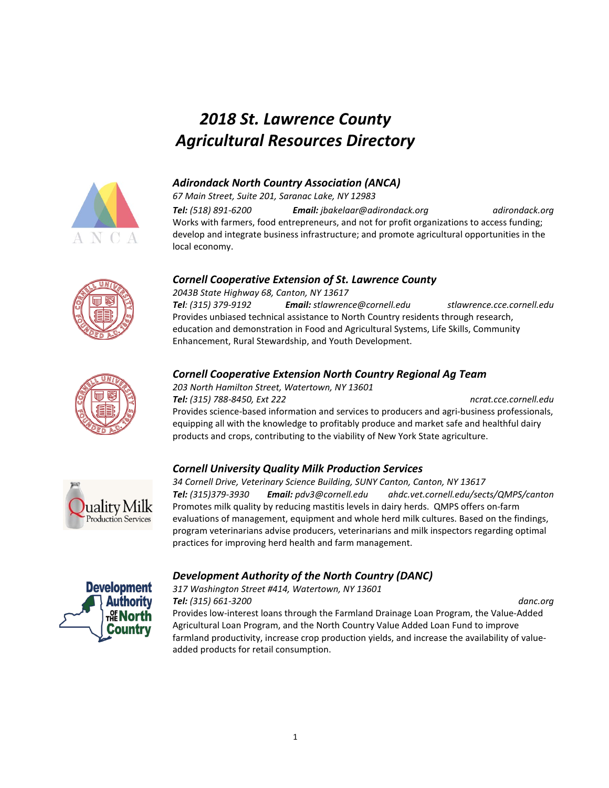## *2018 St. Lawrence County Agricultural Resources Directory*



#### *Adirondack North Country Association (ANCA)*

*67 Main Street, Suite 201, Saranac Lake, NY 12983 Tel: (518) 891-6200 Email: jbakelaar@adirondack.org adirondack.org* Works with farmers, food entrepreneurs, and not for profit organizations to access funding; develop and integrate business infrastructure; and promote agricultural opportunities in the local economy.

#### *Cornell Cooperative Extension of St. Lawrence County*

*2043B State Highway 68, Canton, NY 13617*

*Tel: (315) 379-9192 Email: stlawrence@cornell.edu stlawrence.cce.cornell.edu* Provides unbiased technical assistance to North Country residents through research, education and demonstration in Food and Agricultural Systems, Life Skills, Community Enhancement, Rural Stewardship, and Youth Development.



## *Cornell Cooperative Extension North Country Regional Ag Team*

*203 North Hamilton Street, Watertown, NY 13601 Tel: (315) 788-8450, Ext 222 ncrat.cce.cornell.edu* Provides science-based information and services to producers and agri-business professionals, equipping all with the knowledge to profitably produce and market safe and healthful dairy products and crops, contributing to the viability of New York State agriculture.

## *Cornell University Quality Milk Production Services*



*34 Cornell Drive, Veterinary Science Building, SUNY Canton, Canton, NY 13617 Tel: (315)379-3930 Email: pdv3@cornell.edu ahdc.vet.cornell.edu/sects/QMPS/canton* Promotes milk quality by reducing mastitis levels in dairy herds. QMPS offers on-farm evaluations of management, equipment and whole herd milk cultures. Based on the findings, program veterinarians advise producers, veterinarians and milk inspectors regarding optimal practices for improving herd health and farm management.

## *Development Authority of the North Country (DANC)*

*317 Washington Street #414, Watertown, NY 13601 Tel: (315) 661-3200 danc.org*



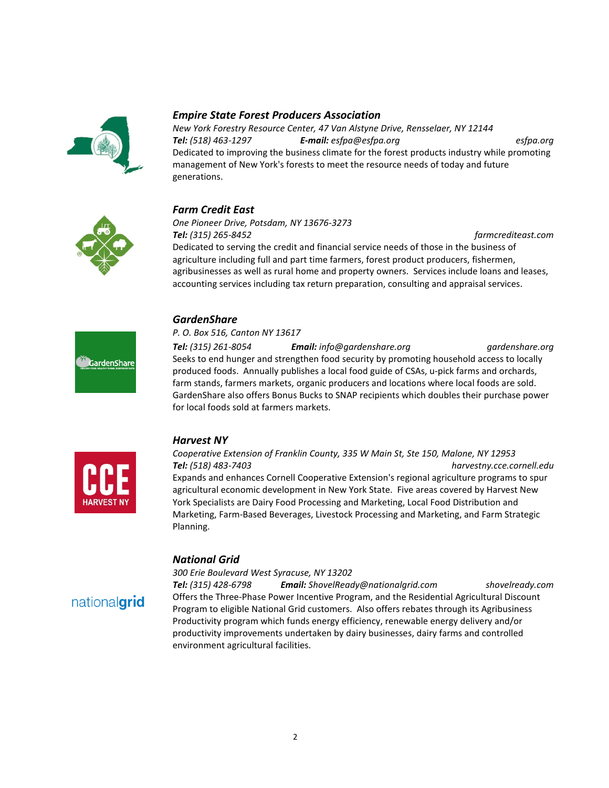

#### *Empire State Forest Producers Association*

*New York Forestry Resource Center, 47 Van Alstyne Drive, Rensselaer, NY 12144 Tel: (518) 463-1297 E-mail: esfpa@esfpa.org esfpa.org* Dedicated to improving the business climate for the forest products industry while promoting management of New York's forests to meet the resource needs of today and future generations.

## *Farm Credit East*

# *One Pioneer Drive, Potsdam, NY 13676-3273*

*Tel: (315) 265-8452 farmcrediteast.com* Dedicated to serving the credit and financial service needs of those in the business of agriculture including full and part time farmers, forest product producers, fishermen, agribusinesses as well as rural home and property owners. Services include loans and leases, accounting services including tax return preparation, consulting and appraisal services.

## *GardenShare*

#### *P. O. Box 516, Canton NY 13617*

GardenShare

*Tel: (315) 261-8054 Email: info@gardenshare.org gardenshare.org* Seeks to end hunger and strengthen food security by promoting household access to locally produced foods. Annually publishes a local food guide of CSAs, u-pick farms and orchards, farm stands, farmers markets, organic producers and locations where local foods are sold. GardenShare also offers Bonus Bucks to SNAP recipients which doubles their purchase power for local foods sold at farmers markets.



## *Harvest NY*

*Cooperative Extension of Franklin County, 335 W Main St, Ste 150, Malone, NY 12953 Tel: (518) 483-7403 harvestny.cce.cornell.edu* Expands and enhances Cornell Cooperative Extension's regional agriculture programs to spur agricultural economic development in New York State. Five areas covered by Harvest New York Specialists are Dairy Food Processing and Marketing, Local Food Distribution and Marketing, Farm-Based Beverages, Livestock Processing and Marketing, and Farm Strategic Planning.

#### *National Grid*

#### *300 Erie Boulevard West Syracuse, NY 13202*

nationalgrid

*Tel: (315) 428-6798 Email: ShovelReady@nationalgrid.com shovelready.com* Offers the Three-Phase Power Incentive Program, and the Residential Agricultural Discount Program to eligible National Grid customers. Also offers rebates through its Agribusiness Productivity program which funds energy efficiency, renewable energy delivery and/or productivity improvements undertaken by dairy businesses, dairy farms and controlled environment agricultural facilities.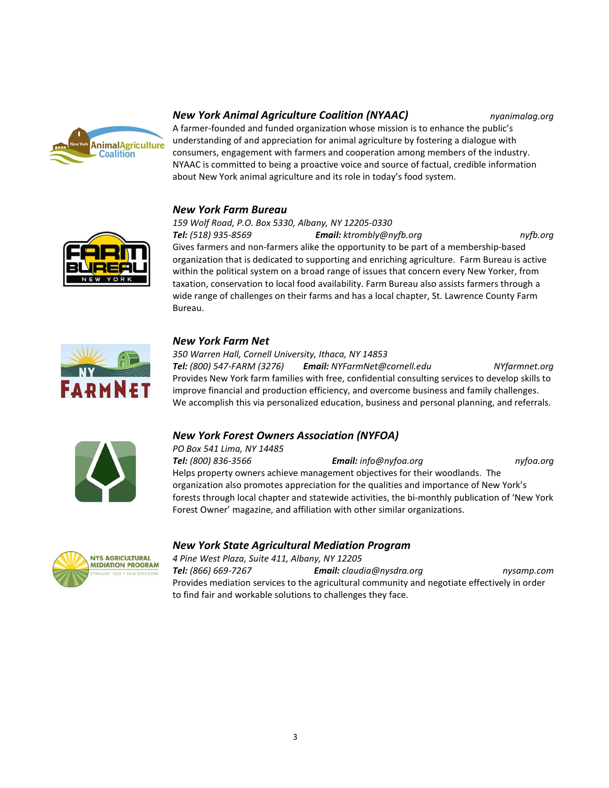

#### *New York Animal Agriculture Coalition (NYAAC) nyanimalag.org*

A farmer-founded and funded organization whose mission is to enhance the public's understanding of and appreciation for animal agriculture by fostering a dialogue with

consumers, engagement with farmers and cooperation among members of the industry. NYAAC is committed to being a proactive voice and source of factual, credible information about New York animal agriculture and its role in today's food system.

## *New York Farm Bureau*



*159 Wolf Road, P.O. Box 5330, Albany, NY 12205-0330 Tel: (518) 935-8569 Email: ktrombly@nyfb.org nyfb.org* Gives farmers and non-farmers alike the opportunity to be part of a membership-based organization that is dedicated to supporting and enriching agriculture. Farm Bureau is active within the political system on a broad range of issues that concern every New Yorker, from taxation, conservation to local food availability. Farm Bureau also assists farmers through a wide range of challenges on their farms and has a local chapter, St. Lawrence County Farm Bureau.



#### *New York Farm Net*

*350 Warren Hall, Cornell University, Ithaca, NY 14853 Tel: (800) 547-FARM (3276) Email: NYFarmNet@cornell.edu NYfarmnet.org* Provides New York farm families with free, confidential consulting services to develop skills to improve financial and production efficiency, and overcome business and family challenges. We accomplish this via personalized education, business and personal planning, and referrals.



## *New York Forest Owners Association (NYFOA)*

*PO Box 541 Lima, NY 14485 Tel: (800) 836-3566 Email: info@nyfoa.org nyfoa.org* Helps property owners achieve management objectives for their woodlands. The organization also promotes appreciation for the qualities and importance of New York's forests through local chapter and statewide activities, the bi-monthly publication of 'New York Forest Owner' magazine, and affiliation with other similar organizations.



## *New York State Agricultural Mediation Program*

*4 Pine West Plaza, Suite 411, Albany, NY 12205*

*Tel: (866) 669-7267 Email: claudia@nysdra.org nysamp.com* Provides mediation services to the agricultural community and negotiate effectively in order to find fair and workable solutions to challenges they face.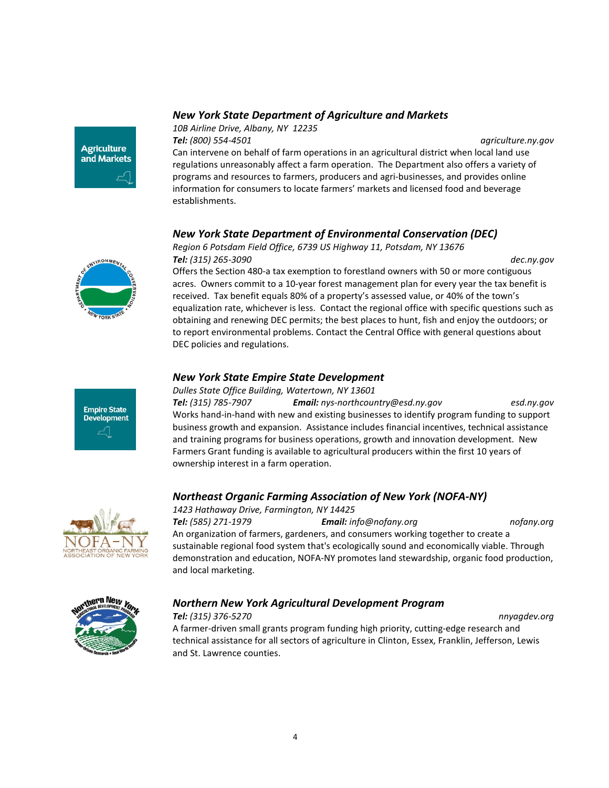#### *New York State Department of Agriculture and Markets*

**Agriculture** and Markets *10B Airline Drive, Albany, NY 12235 Tel: (800) 554-4501 agriculture.ny.gov*

Can intervene on behalf of farm operations in an agricultural district when local land use regulations unreasonably affect a farm operation. The Department also offers a variety of programs and resources to farmers, producers and agri-businesses, and provides online information for consumers to locate farmers' markets and licensed food and beverage establishments.

## *New York State Department of Environmental Conservation (DEC)*

*Region 6 Potsdam Field Office, 6739 US Highway 11, Potsdam, NY 13676*

**IRONMEN** 

**Empire State Development**  *Tel: (315) 265-3090 dec.ny.gov* Offers the Section 480-a tax exemption to forestland owners with 50 or more contiguous acres. Owners commit to a 10-year forest management plan for every year the tax benefit is received. Tax benefit equals 80% of a property's assessed value, or 40% of the town's equalization rate, whichever is less. Contact the regional office with specific questions such as obtaining and renewing DEC permits; the best places to hunt, fish and enjoy the outdoors; or to report environmental problems. Contact the Central Office with general questions about DEC policies and regulations.

## *New York State Empire State Development*

#### *Dulles State Office Building, Watertown, NY 13601*

*Tel: (315) 785-7907 Email: nys-northcountry@esd.ny.gov esd.ny.gov* Works hand-in-hand with new and existing businesses to identify program funding to support business growth and expansion. Assistance includes financial incentives, technical assistance and training programs for business operations, growth and innovation development. New Farmers Grant funding is available to agricultural producers within the first 10 years of ownership interest in a farm operation.

#### *Northeast Organic Farming Association of New York (NOFA-NY)*

#### *1423 Hathaway Drive, Farmington, NY 14425*

*Tel: (585) 271-1979 Email: info@nofany.org nofany.org* An organization of farmers, gardeners, and consumers working together to create a sustainable regional food system that's ecologically sound and economically viable. Through demonstration and education, NOFA-NY promotes land stewardship, organic food production, and local marketing.

## *Northern New York Agricultural Development Program*







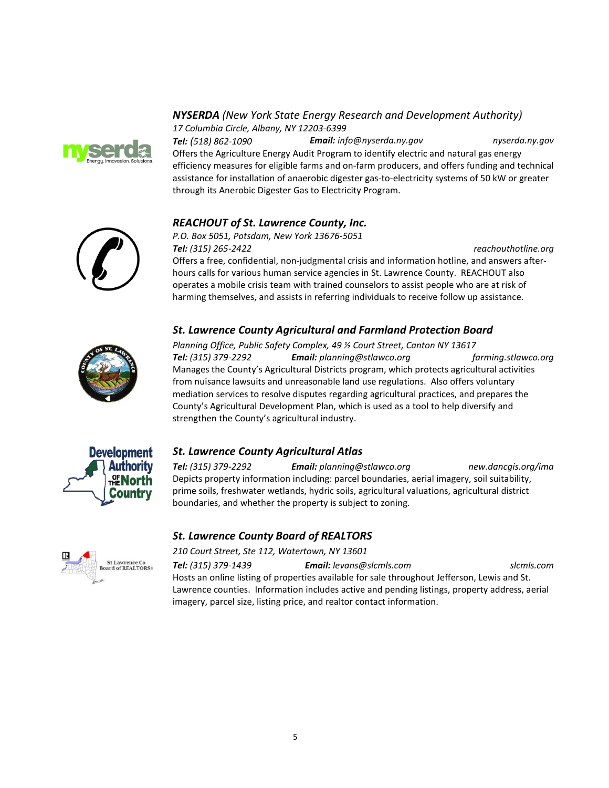

#### *NYSERDA (New York State Energy Research and Development Authority) 17 Columbia Circle, Albany, NY 12203-6399*

*Tel: (518) 862-1090 Email: info@nyserda.ny.gov nyserda.ny.gov* Offers the Agriculture Energy Audit Program to identify electric and natural gas energy efficiency measures for eligible farms and on-farm producers, and offers funding and technical assistance for installation of anaerobic digester gas-to-electricity systems of 50 kW or greater through its Anerobic Digester Gas to Electricity Program.



## *REACHOUT of St. Lawrence County, Inc.*

*P.O. Box 5051, Potsdam, New York 13676-5051 Tel: (315) 265-2422 reachouthotline.org*

Offers a free, confidential, non-judgmental crisis and information hotline, and answers afterhours calls for various human service agencies in St. Lawrence County. REACHOUT also operates a mobile crisis team with trained counselors to assist people who are at risk of harming themselves, and assists in referring individuals to receive follow up assistance.

## *St. Lawrence County Agricultural and Farmland Protection Board*



*Planning Office, Public Safety Complex, 49 ½ Court Street, Canton NY 13617 Tel: (315) 379-2292 Email: planning@stlawco.org farming.stlawco.org* Manages the County's Agricultural Districts program, which protects agricultural activities from nuisance lawsuits and unreasonable land use regulations. Also offers voluntary mediation services to resolve disputes regarding agricultural practices, and prepares the County's Agricultural Development Plan, which is used as a tool to help diversify and strengthen the County's agricultural industry.



## *St. Lawrence County Agricultural Atlas*

*Tel: (315) 379-2292 Email: planning@stlawco.org new.dancgis.org/ima* Depicts property information including: parcel boundaries, aerial imagery, soil suitability, prime soils, freshwater wetlands, hydric soils, agricultural valuations, agricultural district boundaries, and whether the property is subject to zoning.

#### *St. Lawrence County Board of REALTORS*

*210 Court Street, Ste 112, Watertown, NY 13601*

*Tel: (315) 379-1439 Email: levans@slcmls.com slcmls.com* Hosts an online listing of properties available for sale throughout Jefferson, Lewis and St. Lawrence counties. Information includes active and pending listings, property address, aerial imagery, parcel size, listing price, and realtor contact information.

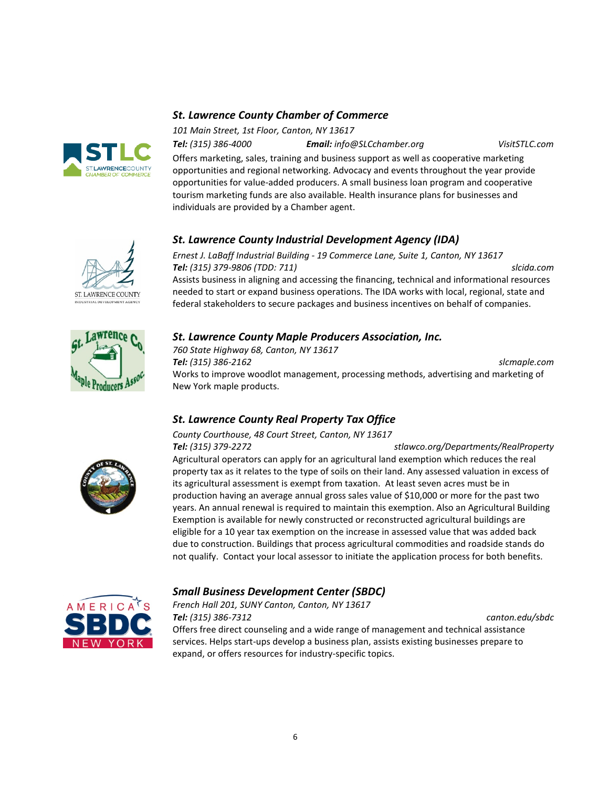

## *St. Lawrence County Chamber of Commerce*

*101 Main Street, 1st Floor, Canton, NY 13617*

*Tel: (315) 386-4000 Email: info@SLCchamber.org VisitSTLC.com*

Offers marketing, sales, training and business support as well as cooperative marketing opportunities and regional networking. Advocacy and events throughout the year provide opportunities for value-added producers. A small business loan program and cooperative tourism marketing funds are also available. Health insurance plans for businesses and individuals are provided by a Chamber agent.

## *St. Lawrence County Industrial Development Agency (IDA)*

*Ernest J. LaBaff Industrial Building - 19 Commerce Lane, Suite 1, Canton, NY 13617 Tel: (315) 379-9806 (TDD: 711) slcida.com* Assists business in aligning and accessing the financing, technical and informational resources needed to start or expand business operations. The IDA works with local, regional, state and federal stakeholders to secure packages and business incentives on behalf of companies.

## *St. Lawrence County Maple Producers Association, Inc.*

*760 State Highway 68, Canton, NY 13617 Tel: (315) 386-2162 slcmaple.com* Works to improve woodlot management, processing methods, advertising and marketing of New York maple products.

## *St. Lawrence County Real Property Tax Office County Courthouse, 48 Court Street, Canton, NY 13617*



*Tel: (315) 379-2272 stlawco.org/Departments/RealProperty* Agricultural operators can apply for an agricultural land exemption which reduces the real property tax as it relates to the type of soils on their land. Any assessed valuation in excess of its agricultural assessment is exempt from taxation. At least seven acres must be in production having an average annual gross sales value of \$10,000 or more for the past two years. An annual renewal is required to maintain this exemption. Also an Agricultural Building Exemption is available for newly constructed or reconstructed agricultural buildings are eligible for a 10 year tax exemption on the increase in assessed value that was added back due to construction. Buildings that process agricultural commodities and roadside stands do not qualify. Contact your local assessor to initiate the application process for both benefits.



## *Small Business Development Center (SBDC)*

*French Hall 201, SUNY Canton, Canton, NY 13617 Tel: (315) 386-7312 canton.edu/sbdc* Offers free direct counseling and a wide range of management and technical assistance services. Helps start-ups develop a business plan, assists existing businesses prepare to expand, or offers resources for industry-specific topics.



**ST. LAWRENCE COUNTY**